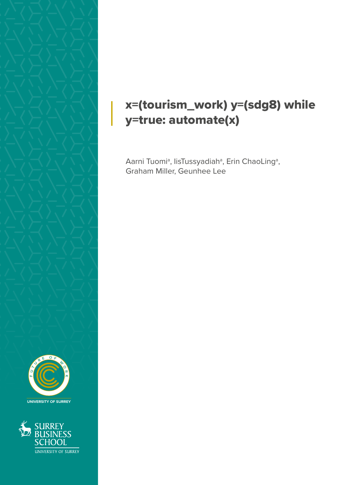

## x=(tourism\_work) y=(sdg8) while y=true: automate(x)

Aarni Tuomiª, IisTussyadiahª, Erin ChaoLingª, Graham Miller, Geunhee Lee



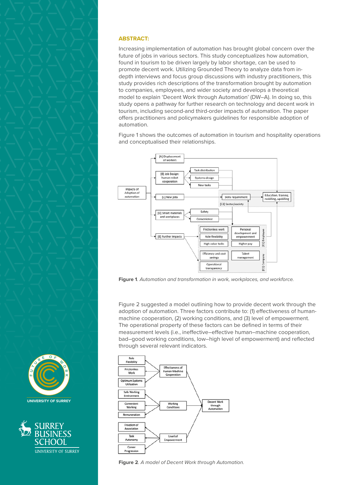





## **ABSTRACT:**

Increasing implementation of automation has brought global concern over the future of jobs in various sectors. This study conceptualizes how automation, found in tourism to be driven largely by labor shortage, can be used to promote decent work. Utilizing Grounded Theory to analyze data from indepth interviews and focus group discussions with industry practitioners, this study provides rich descriptions of the transformation brought by automation to companies, employees, and wider society and develops a theoretical model to explain 'Decent Work through Automation' (DW–A). In doing so, this study opens a pathway for further research on technology and decent work in tourism, including second-and third-order impacts of automation. The paper offers practitioners and policymakers guidelines for responsible adoption of automation.

Figure 1 shows the outcomes of automation in tourism and hospitality operations and conceptualised their relationships.



**Figure 1***. Automation and transformation in work, workplaces, and workforce.*

Figure 2 suggested a model outlining how to provide decent work through the adoption of automation. Three factors contribute to: (1) effectiveness of humanmachine cooperation, (2) working conditions, and (3) level of empowerment. The operational property of these factors can be defined in terms of their measurement levels (i.e., ineffective–effective human–machine cooperation, bad–good working conditions, low–high level of empowerment) and reflected through several relevant indicators.



**Figure 2***. A model of Decent Work through Automation.*